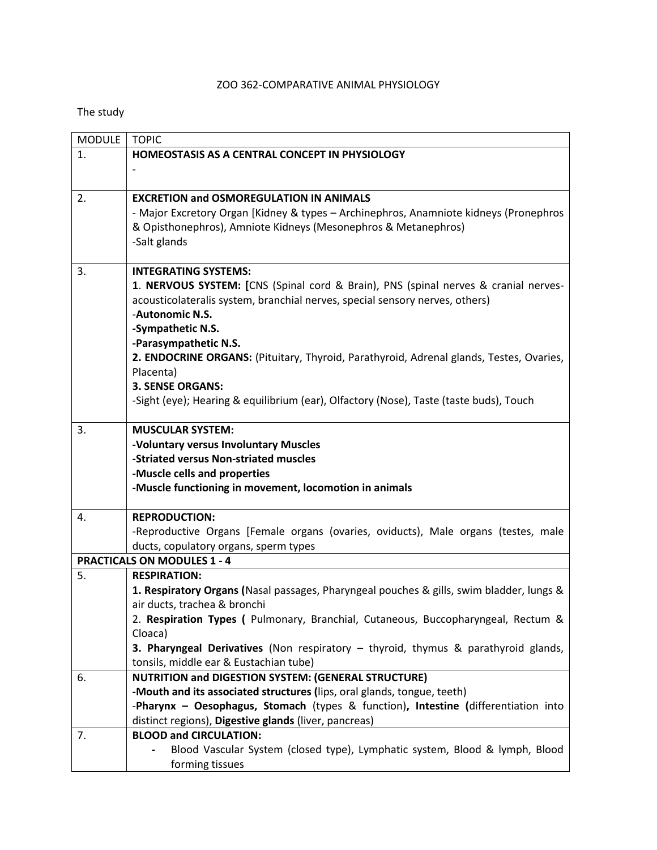#### ZOO 362-COMPARATIVE ANIMAL PHYSIOLOGY

#### The study

| <b>MODULE</b>                      | <b>TOPIC</b>                                                                                  |  |
|------------------------------------|-----------------------------------------------------------------------------------------------|--|
| 1.                                 | HOMEOSTASIS AS A CENTRAL CONCEPT IN PHYSIOLOGY                                                |  |
|                                    |                                                                                               |  |
|                                    |                                                                                               |  |
| 2.                                 | <b>EXCRETION and OSMOREGULATION IN ANIMALS</b>                                                |  |
|                                    | - Major Excretory Organ [Kidney & types - Archinephros, Anamniote kidneys (Pronephros         |  |
|                                    | & Opisthonephros), Amniote Kidneys (Mesonephros & Metanephros)                                |  |
|                                    | -Salt glands                                                                                  |  |
|                                    |                                                                                               |  |
| 3.                                 | <b>INTEGRATING SYSTEMS:</b>                                                                   |  |
|                                    | 1. NERVOUS SYSTEM: [CNS (Spinal cord & Brain), PNS (spinal nerves & cranial nerves-           |  |
|                                    | acousticolateralis system, branchial nerves, special sensory nerves, others)                  |  |
|                                    | -Autonomic N.S.                                                                               |  |
|                                    | -Sympathetic N.S.                                                                             |  |
|                                    | -Parasympathetic N.S.                                                                         |  |
|                                    | 2. ENDOCRINE ORGANS: (Pituitary, Thyroid, Parathyroid, Adrenal glands, Testes, Ovaries,       |  |
|                                    | Placenta)<br><b>3. SENSE ORGANS:</b>                                                          |  |
|                                    | -Sight (eye); Hearing & equilibrium (ear), Olfactory (Nose), Taste (taste buds), Touch        |  |
|                                    |                                                                                               |  |
| 3.                                 | <b>MUSCULAR SYSTEM:</b>                                                                       |  |
|                                    | -Voluntary versus Involuntary Muscles                                                         |  |
|                                    | -Striated versus Non-striated muscles                                                         |  |
|                                    | -Muscle cells and properties                                                                  |  |
|                                    | -Muscle functioning in movement, locomotion in animals                                        |  |
|                                    |                                                                                               |  |
| 4.                                 | <b>REPRODUCTION:</b>                                                                          |  |
|                                    | -Reproductive Organs [Female organs (ovaries, oviducts), Male organs (testes, male            |  |
|                                    | ducts, copulatory organs, sperm types                                                         |  |
| <b>PRACTICALS ON MODULES 1 - 4</b> |                                                                                               |  |
| 5.                                 | <b>RESPIRATION:</b>                                                                           |  |
|                                    | 1. Respiratory Organs (Nasal passages, Pharyngeal pouches & gills, swim bladder, lungs &      |  |
|                                    | air ducts, trachea & bronchi                                                                  |  |
|                                    | 2. Respiration Types ( Pulmonary, Branchial, Cutaneous, Buccopharyngeal, Rectum &             |  |
|                                    | Cloaca)<br>3. Pharyngeal Derivatives (Non respiratory - thyroid, thymus & parathyroid glands, |  |
|                                    | tonsils, middle ear & Eustachian tube)                                                        |  |
| 6.                                 | <b>NUTRITION and DIGESTION SYSTEM: (GENERAL STRUCTURE)</b>                                    |  |
|                                    | -Mouth and its associated structures (lips, oral glands, tongue, teeth)                       |  |
|                                    | -Pharynx - Oesophagus, Stomach (types & function), Intestine (differentiation into            |  |
|                                    | distinct regions), Digestive glands (liver, pancreas)                                         |  |
| 7.                                 | <b>BLOOD and CIRCULATION:</b>                                                                 |  |
|                                    | Blood Vascular System (closed type), Lymphatic system, Blood & lymph, Blood                   |  |
|                                    | forming tissues                                                                               |  |
|                                    |                                                                                               |  |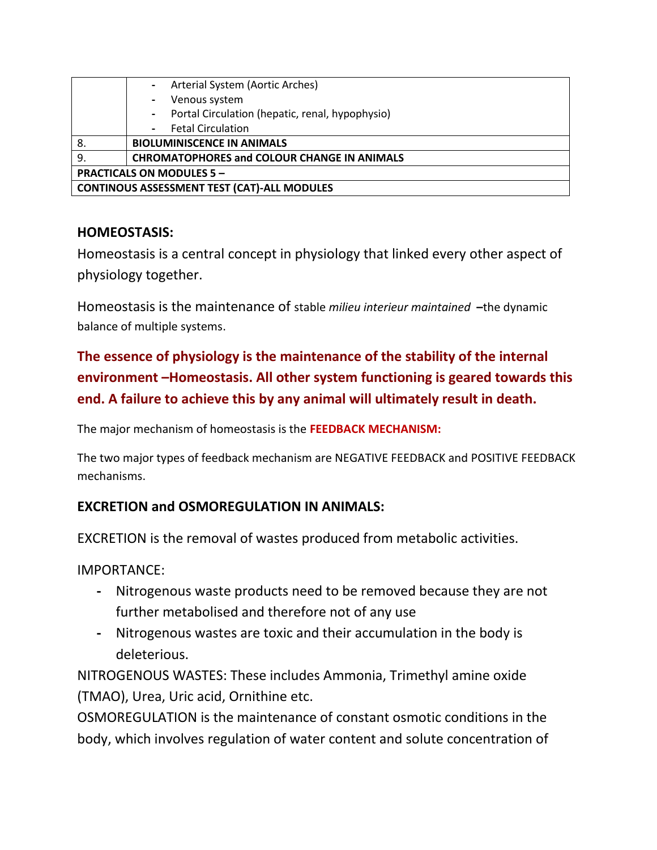|                                                    | Arterial System (Aortic Arches)                           |
|----------------------------------------------------|-----------------------------------------------------------|
|                                                    | Venous system<br>$\overline{\phantom{0}}$                 |
|                                                    | Portal Circulation (hepatic, renal, hypophysio)<br>$\sim$ |
|                                                    | <b>Fetal Circulation</b>                                  |
| 8.                                                 | <b>BIOLUMINISCENCE IN ANIMALS</b>                         |
| 9.                                                 | <b>CHROMATOPHORES and COLOUR CHANGE IN ANIMALS</b>        |
| <b>PRACTICALS ON MODULES 5 -</b>                   |                                                           |
| <b>CONTINOUS ASSESSMENT TEST (CAT)-ALL MODULES</b> |                                                           |

#### **HOMEOSTASIS:**

Homeostasis is a central concept in physiology that linked every other aspect of physiology together.

Homeostasis is the maintenance of stable *milieu interieur maintained* **–**the dynamic balance of multiple systems.

## **The essence of physiology is the maintenance of the stability of the internal environment –Homeostasis. All other system functioning is geared towards this end. A failure to achieve this by any animal will ultimately result in death.**

The major mechanism of homeostasis is the **FEEDBACK MECHANISM:**

The two major types of feedback mechanism are NEGATIVE FEEDBACK and POSITIVE FEEDBACK mechanisms.

#### **EXCRETION and OSMOREGULATION IN ANIMALS:**

EXCRETION is the removal of wastes produced from metabolic activities.

IMPORTANCE:

- **-** Nitrogenous waste products need to be removed because they are not further metabolised and therefore not of any use
- **-** Nitrogenous wastes are toxic and their accumulation in the body is deleterious.

NITROGENOUS WASTES: These includes Ammonia, Trimethyl amine oxide (TMAO), Urea, Uric acid, Ornithine etc.

OSMOREGULATION is the maintenance of constant osmotic conditions in the body, which involves regulation of water content and solute concentration of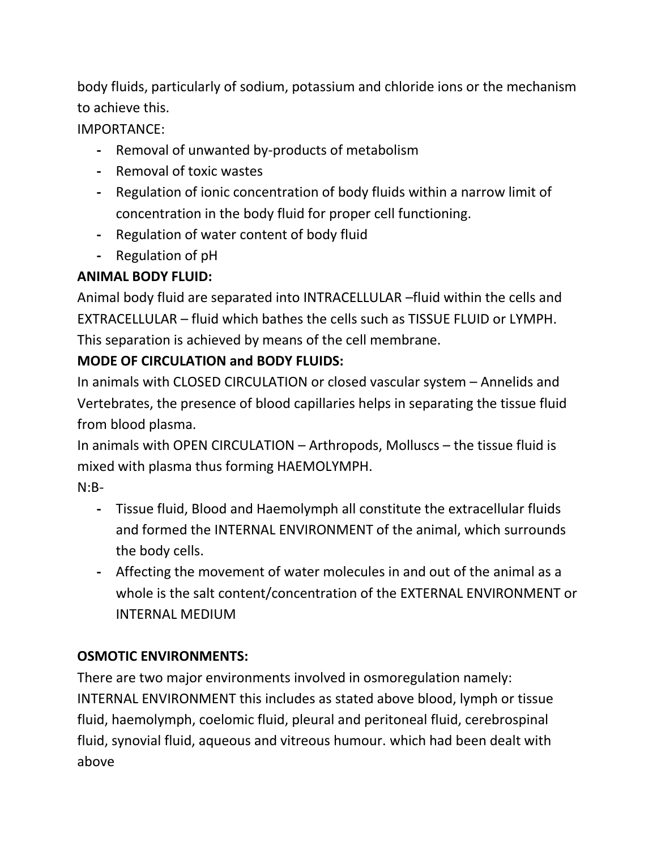body fluids, particularly of sodium, potassium and chloride ions or the mechanism to achieve this.

IMPORTANCE:

- **-** Removal of unwanted by-products of metabolism
- **-** Removal of toxic wastes
- **-** Regulation of ionic concentration of body fluids within a narrow limit of concentration in the body fluid for proper cell functioning.
- **-** Regulation of water content of body fluid
- **-** Regulation of pH

# **ANIMAL BODY FLUID:**

Animal body fluid are separated into INTRACELLULAR –fluid within the cells and EXTRACELLULAR – fluid which bathes the cells such as TISSUE FLUID or LYMPH. This separation is achieved by means of the cell membrane.

## **MODE OF CIRCULATION and BODY FLUIDS:**

In animals with CLOSED CIRCULATION or closed vascular system – Annelids and Vertebrates, the presence of blood capillaries helps in separating the tissue fluid from blood plasma.

In animals with OPEN CIRCULATION – Arthropods, Molluscs – the tissue fluid is mixed with plasma thus forming HAEMOLYMPH.

N:B-

- **-** Tissue fluid, Blood and Haemolymph all constitute the extracellular fluids and formed the INTERNAL ENVIRONMENT of the animal, which surrounds the body cells.
- **-** Affecting the movement of water molecules in and out of the animal as a whole is the salt content/concentration of the EXTERNAL ENVIRONMENT or INTERNAL MEDIUM

## **OSMOTIC ENVIRONMENTS:**

There are two major environments involved in osmoregulation namely: INTERNAL ENVIRONMENT this includes as stated above blood, lymph or tissue fluid, haemolymph, coelomic fluid, pleural and peritoneal fluid, cerebrospinal fluid, synovial fluid, aqueous and vitreous humour. which had been dealt with above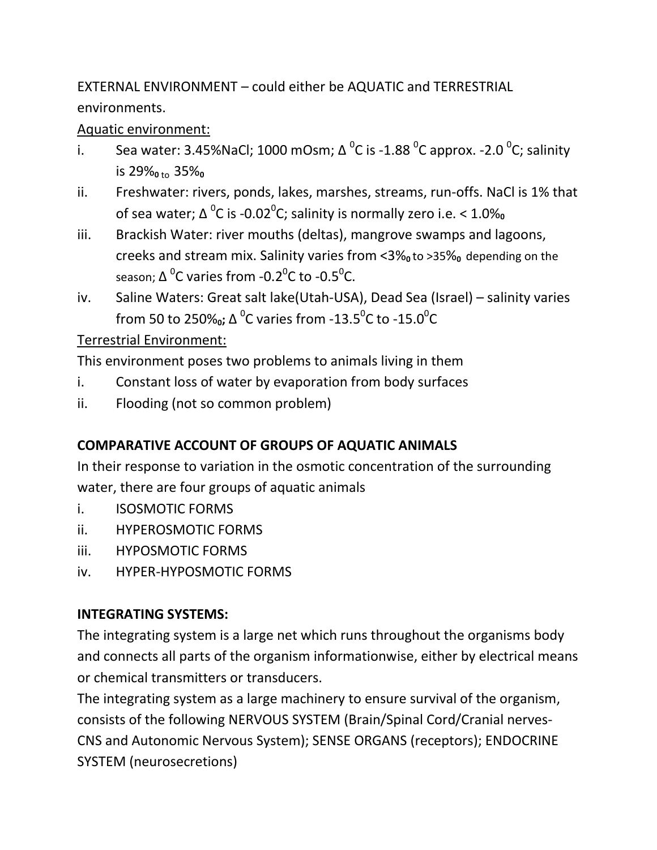EXTERNAL ENVIRONMENT – could either be AQUATIC and TERRESTRIAL environments.

#### Aquatic environment:

- i. Sea water: 3.45%NaCl; 1000 mOsm;  $\Delta$  <sup>o</sup>C is -1.88 <sup>o</sup>C approx. -2.0 <sup>o</sup>C; salinity is 29%<sub>0 to</sub> 35%<sub>0</sub>
- ii. Freshwater: rivers, ponds, lakes, marshes, streams, run-offs. NaCl is 1% that of sea water; ∆ 0 C is -0.02<sup>0</sup> C; salinity is normally zero i.e. < 1.0%**<sup>0</sup>**
- iii. Brackish Water: river mouths (deltas), mangrove swamps and lagoons, creeks and stream mix. Salinity varies from <3% to >35% depending on the season;  $\Delta$   $^0$ C varies from -0.2 $^0$ C to -0.5 $^0$ C.
- iv. Saline Waters: Great salt lake(Utah-USA), Dead Sea (Israel) salinity varies from 50 to 250‰; ∆ <sup>0</sup>C varies from -13.5<sup>0</sup>C to -15.0<sup>0</sup>C

### Terrestrial Environment:

This environment poses two problems to animals living in them

- i. Constant loss of water by evaporation from body surfaces
- ii. Flooding (not so common problem)

### **COMPARATIVE ACCOUNT OF GROUPS OF AQUATIC ANIMALS**

In their response to variation in the osmotic concentration of the surrounding water, there are four groups of aquatic animals

- i. ISOSMOTIC FORMS
- ii. HYPEROSMOTIC FORMS
- iii. HYPOSMOTIC FORMS
- iv. HYPER-HYPOSMOTIC FORMS

#### **INTEGRATING SYSTEMS:**

The integrating system is a large net which runs throughout the organisms body and connects all parts of the organism informationwise, either by electrical means or chemical transmitters or transducers.

The integrating system as a large machinery to ensure survival of the organism, consists of the following NERVOUS SYSTEM (Brain/Spinal Cord/Cranial nerves-CNS and Autonomic Nervous System); SENSE ORGANS (receptors); ENDOCRINE SYSTEM (neurosecretions)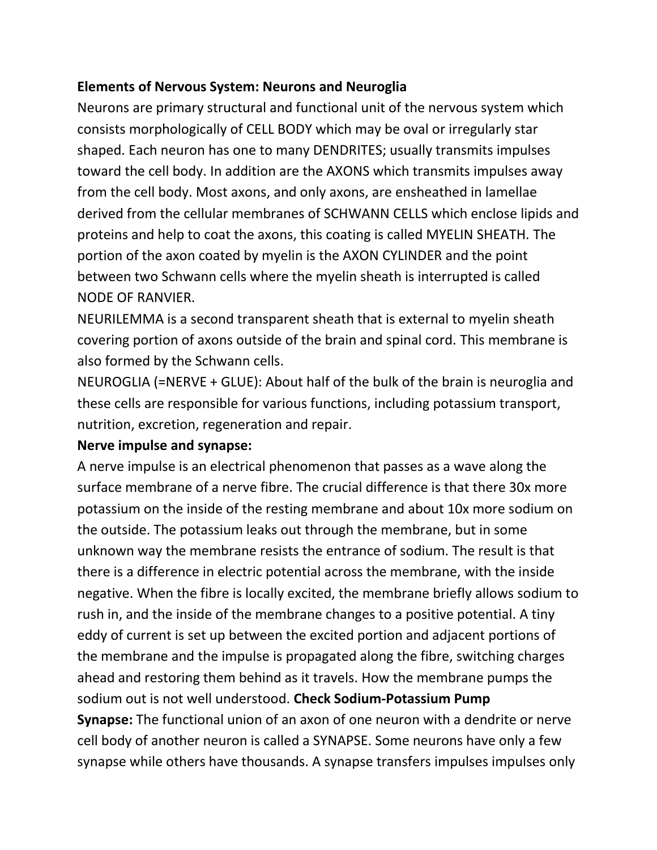#### **Elements of Nervous System: Neurons and Neuroglia**

Neurons are primary structural and functional unit of the nervous system which consists morphologically of CELL BODY which may be oval or irregularly star shaped. Each neuron has one to many DENDRITES; usually transmits impulses toward the cell body. In addition are the AXONS which transmits impulses away from the cell body. Most axons, and only axons, are ensheathed in lamellae derived from the cellular membranes of SCHWANN CELLS which enclose lipids and proteins and help to coat the axons, this coating is called MYELIN SHEATH. The portion of the axon coated by myelin is the AXON CYLINDER and the point between two Schwann cells where the myelin sheath is interrupted is called NODE OF RANVIER.

NEURILEMMA is a second transparent sheath that is external to myelin sheath covering portion of axons outside of the brain and spinal cord. This membrane is also formed by the Schwann cells.

NEUROGLIA (=NERVE + GLUE): About half of the bulk of the brain is neuroglia and these cells are responsible for various functions, including potassium transport, nutrition, excretion, regeneration and repair.

#### **Nerve impulse and synapse:**

A nerve impulse is an electrical phenomenon that passes as a wave along the surface membrane of a nerve fibre. The crucial difference is that there 30x more potassium on the inside of the resting membrane and about 10x more sodium on the outside. The potassium leaks out through the membrane, but in some unknown way the membrane resists the entrance of sodium. The result is that there is a difference in electric potential across the membrane, with the inside negative. When the fibre is locally excited, the membrane briefly allows sodium to rush in, and the inside of the membrane changes to a positive potential. A tiny eddy of current is set up between the excited portion and adjacent portions of the membrane and the impulse is propagated along the fibre, switching charges ahead and restoring them behind as it travels. How the membrane pumps the sodium out is not well understood. **Check Sodium-Potassium Pump Synapse:** The functional union of an axon of one neuron with a dendrite or nerve cell body of another neuron is called a SYNAPSE. Some neurons have only a few synapse while others have thousands. A synapse transfers impulses impulses only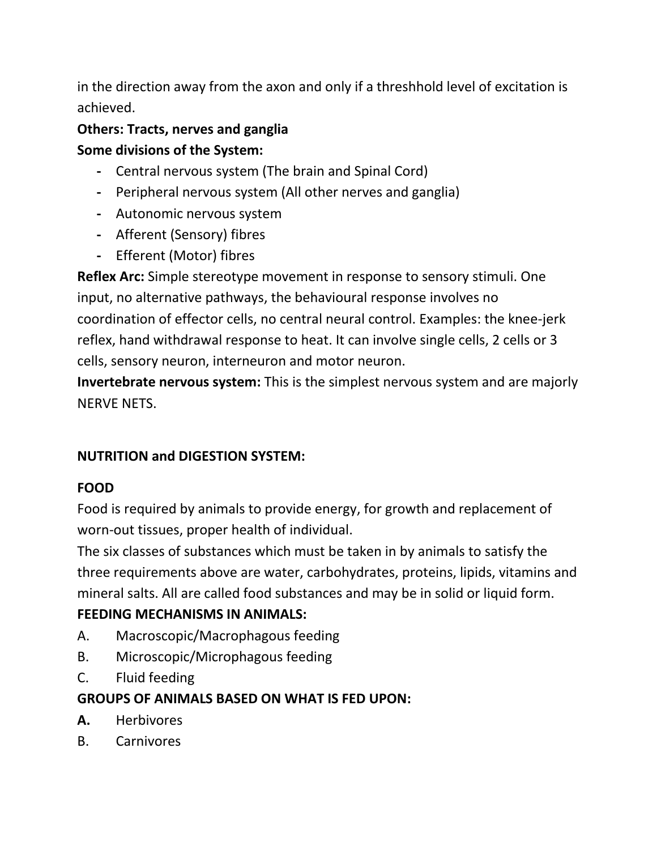in the direction away from the axon and only if a threshhold level of excitation is achieved.

## **Others: Tracts, nerves and ganglia Some divisions of the System:**

- **-** Central nervous system (The brain and Spinal Cord)
- **-** Peripheral nervous system (All other nerves and ganglia)
- **-** Autonomic nervous system
- **-** Afferent (Sensory) fibres
- **-** Efferent (Motor) fibres

**Reflex Arc:** Simple stereotype movement in response to sensory stimuli. One input, no alternative pathways, the behavioural response involves no coordination of effector cells, no central neural control. Examples: the knee-jerk reflex, hand withdrawal response to heat. It can involve single cells, 2 cells or 3 cells, sensory neuron, interneuron and motor neuron.

**Invertebrate nervous system:** This is the simplest nervous system and are majorly NERVE NETS.

### **NUTRITION and DIGESTION SYSTEM:**

### **FOOD**

Food is required by animals to provide energy, for growth and replacement of worn-out tissues, proper health of individual.

The six classes of substances which must be taken in by animals to satisfy the three requirements above are water, carbohydrates, proteins, lipids, vitamins and mineral salts. All are called food substances and may be in solid or liquid form.

### **FEEDING MECHANISMS IN ANIMALS:**

- A. Macroscopic/Macrophagous feeding
- B. Microscopic/Microphagous feeding
- C. Fluid feeding

### **GROUPS OF ANIMALS BASED ON WHAT IS FED UPON:**

- **A.** Herbivores
- B. Carnivores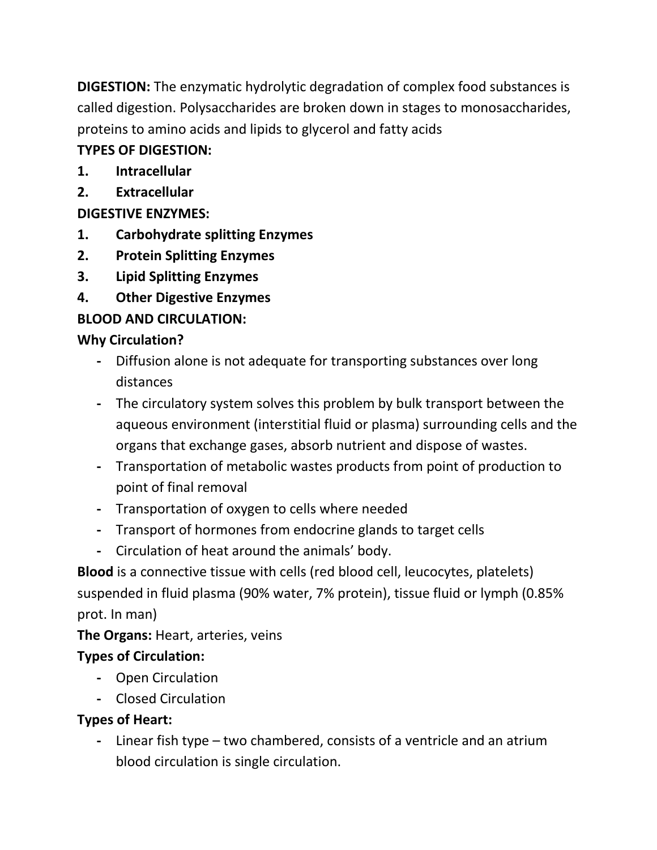**DIGESTION:** The enzymatic hydrolytic degradation of complex food substances is called digestion. Polysaccharides are broken down in stages to monosaccharides, proteins to amino acids and lipids to glycerol and fatty acids

### **TYPES OF DIGESTION:**

- **1. Intracellular**
- **2. Extracellular**

## **DIGESTIVE ENZYMES:**

- **1. Carbohydrate splitting Enzymes**
- **2. Protein Splitting Enzymes**
- **3. Lipid Splitting Enzymes**
- **4. Other Digestive Enzymes**

# **BLOOD AND CIRCULATION:**

## **Why Circulation?**

- **-** Diffusion alone is not adequate for transporting substances over long distances
- **-** The circulatory system solves this problem by bulk transport between the aqueous environment (interstitial fluid or plasma) surrounding cells and the organs that exchange gases, absorb nutrient and dispose of wastes.
- **-** Transportation of metabolic wastes products from point of production to point of final removal
- **-** Transportation of oxygen to cells where needed
- **-** Transport of hormones from endocrine glands to target cells
- **-** Circulation of heat around the animals' body.

**Blood** is a connective tissue with cells (red blood cell, leucocytes, platelets) suspended in fluid plasma (90% water, 7% protein), tissue fluid or lymph (0.85% prot. In man)

**The Organs:** Heart, arteries, veins

## **Types of Circulation:**

- **-** Open Circulation
- **-** Closed Circulation

## **Types of Heart:**

**-** Linear fish type – two chambered, consists of a ventricle and an atrium blood circulation is single circulation.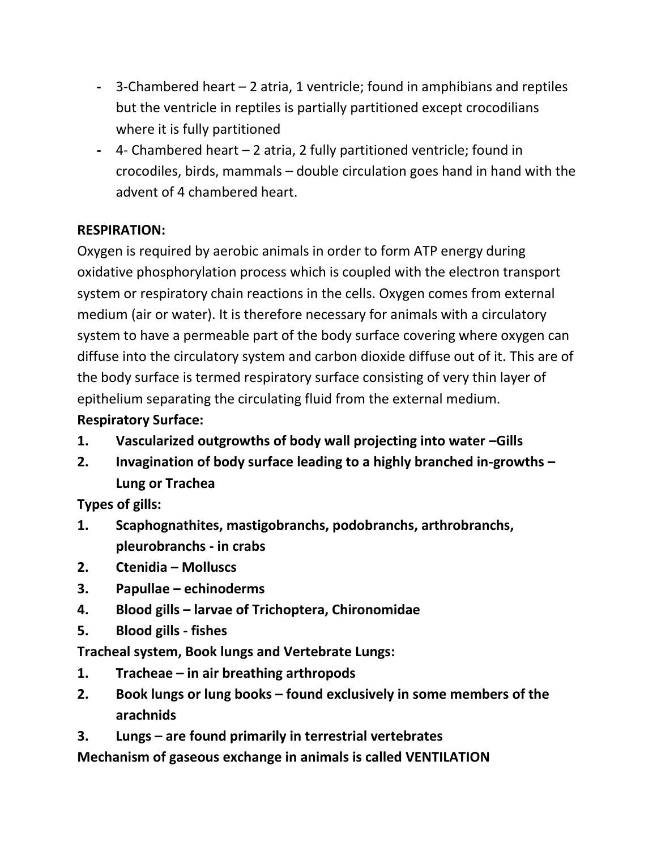- **-** 3-Chambered heart 2 atria, 1 ventricle; found in amphibians and reptiles but the ventricle in reptiles is partially partitioned except crocodilians where it is fully partitioned
- **-** 4- Chambered heart 2 atria, 2 fully partitioned ventricle; found in crocodiles, birds, mammals – double circulation goes hand in hand with the advent of 4 chambered heart.

### **RESPIRATION:**

Oxygen is required by aerobic animals in order to form ATP energy during oxidative phosphorylation process which is coupled with the electron transport system or respiratory chain reactions in the cells. Oxygen comes from external medium (air or water). It is therefore necessary for animals with a circulatory system to have a permeable part of the body surface covering where oxygen can diffuse into the circulatory system and carbon dioxide diffuse out of it. This are of the body surface is termed respiratory surface consisting of very thin layer of epithelium separating the circulating fluid from the external medium.

### **Respiratory Surface:**

- **1. Vascularized outgrowths of body wall projecting into water –Gills**
- **2. Invagination of body surface leading to a highly branched in-growths – Lung or Trachea**

**Types of gills:**

- **1. Scaphognathites, mastigobranchs, podobranchs, arthrobranchs, pleurobranchs - in crabs**
- **2. Ctenidia – Molluscs**
- **3. Papullae – echinoderms**
- **4. Blood gills – larvae of Trichoptera, Chironomidae**
- **5. Blood gills - fishes**

**Tracheal system, Book lungs and Vertebrate Lungs:**

- **1. Tracheae – in air breathing arthropods**
- **2. Book lungs or lung books – found exclusively in some members of the arachnids**
- **3. Lungs – are found primarily in terrestrial vertebrates**

**Mechanism of gaseous exchange in animals is called VENTILATION**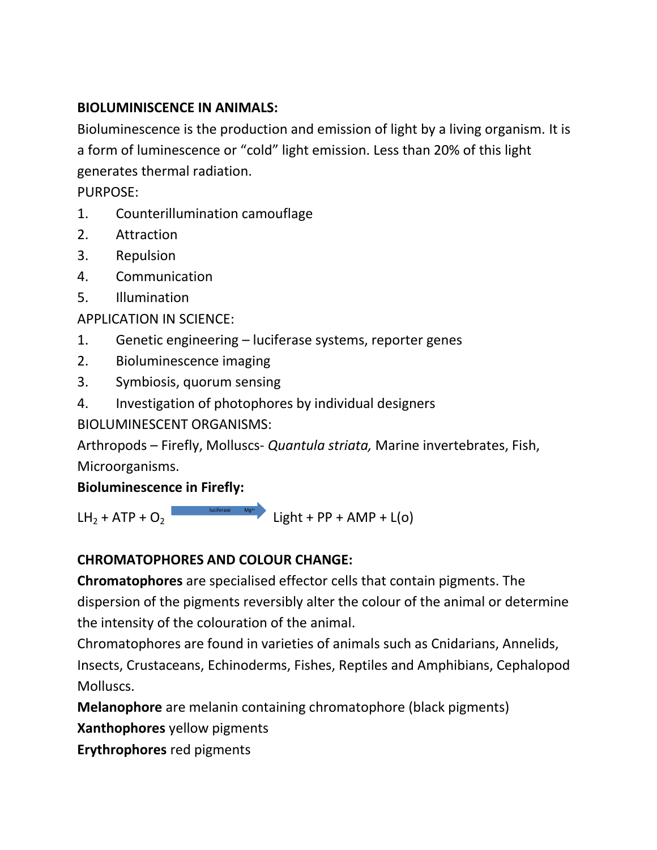#### **BIOLUMINISCENCE IN ANIMALS:**

Bioluminescence is the production and emission of light by a living organism. It is a form of luminescence or "cold" light emission. Less than 20% of this light generates thermal radiation.

PURPOSE:

- 1. Counterillumination camouflage
- 2. Attraction
- 3. Repulsion
- 4. Communication
- 5. Illumination

APPLICATION IN SCIENCE:

- 1. Genetic engineering luciferase systems, reporter genes
- 2. Bioluminescence imaging
- 3. Symbiosis, quorum sensing
- 4. Investigation of photophores by individual designers

BIOLUMINESCENT ORGANISMS:

Arthropods – Firefly, Molluscs- *Quantula striata,* Marine invertebrates, Fish, Microorganisms.

### **Bioluminescence in Firefly:**

 $LH_2 + ATP + O_2$  luciferase Mg<sup>2+</sup> Light + PP + AMP + L(o)  $luciferase$   $Mg<sup>2+</sup>$ 

### **CHROMATOPHORES AND COLOUR CHANGE:**

**Chromatophores** are specialised effector cells that contain pigments. The dispersion of the pigments reversibly alter the colour of the animal or determine the intensity of the colouration of the animal.

Chromatophores are found in varieties of animals such as Cnidarians, Annelids, Insects, Crustaceans, Echinoderms, Fishes, Reptiles and Amphibians, Cephalopod Molluscs.

**Melanophore** are melanin containing chromatophore (black pigments)

**Xanthophores** yellow pigments

**Erythrophores** red pigments